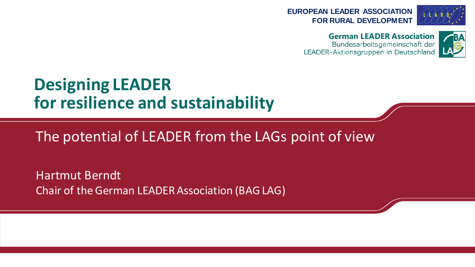



**German LEADER Association**

LEADER-Aktionsgruppen in Deutschland



# **Designing LEADER for resilience and sustainability**

The potential of LEADER from the LAGs point of view

Hartmut Berndt Chair of theGerman LEADER Association (BAG LAG)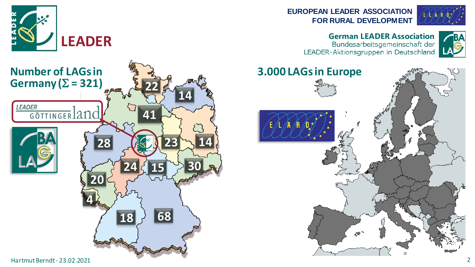



**EUROPEAN LEADER ASSOCIATION FOR RURAL DEVELOPMENT**



#### **German LEADER Association**

LEADER-Aktionsgruppen in Deutschland



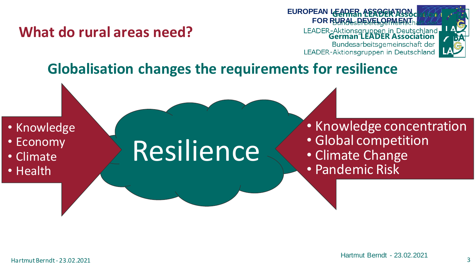#### **What do rural areas need?**



### **Globalisation changes the requirements for resilience**

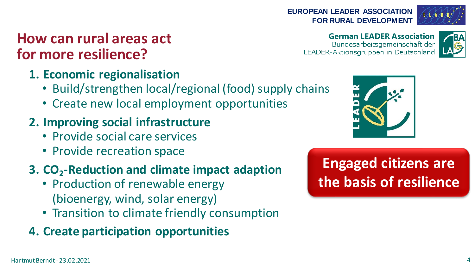### **How can rural areas act for more resilience?**

#### **1. Economic regionalisation**

- Build/strengthen local/regional (food) supply chains
- Create new local employment opportunities

#### **2. Improving social infrastructure**

- Provide social care services
- Provide recreation space

### **3. CO<sup>2</sup> -Reduction and climate impact adaption**

- Production of renewable energy (bioenergy, wind, solar energy)
- Transition to climate friendly consumption

#### **4. Create participation opportunities**

#### **EUROPEAN LEADER ASSOCIATION FOR RURAL DEVELOPMENT**

#### **German LEADER Association**

LEADER-Aktionsgruppen in Deutschland





## **Engaged citizens are the basis of resilience**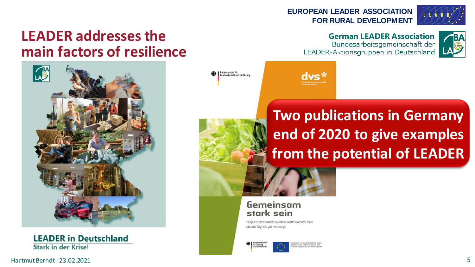#### **EUROPEAN LEADER ASSOCIATION FOR RURAL DEVELOPMENT**



#### **German LEADER Association**

LEADER-Aktionsgruppen in Deutschland



#### **LEADER addresses the main factors of resilience**



**LEADER in Deutschland Stark in der Krise!** 

# **Two publications in Germany end of 2020 to give examples from the potential of LEADER**



#### Gemeinsam stark sein

.<br>Jundesanstalt für<br>Jandwirtschaft und Ernährung

Projekte des bundesweiten Wettbewerbs 2020 Motto: Täglich gut versorgt!

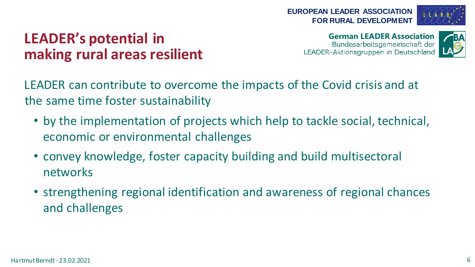



### **LEADER's potential in making rural areas resilient**

**German LEADER Association** LEADER-Aktionsgruppen in Deutschland



LEADER can contribute to overcome the impacts of the Covid crisis and at the same time foster sustainability

- by the implementation of projects which help to tackle social, technical, economic or environmental challenges
- convey knowledge, foster capacity building and build multisectoral networks
- strengthening regional identification and awareness of regional chances and challenges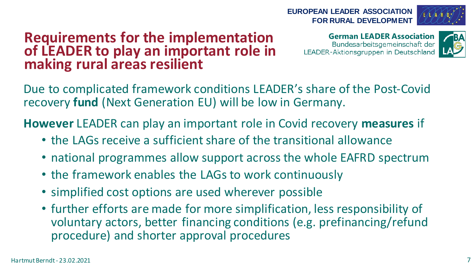#### **EUROPEAN LEADER ASSOCIATION FOR RURAL DEVELOPMENT**

Due to complicated framework conditions LEADER's share of the Post-Covid recovery **fund** (Next Generation EU) will be low in Germany.

**However** LEADER can play an important role in Covid recovery **measures** if

- the LAGs receive a sufficient share of the transitional allowance
- national programmes allow support across the whole EAFRD spectrum
- the framework enables the LAGs to work continuously
- simplified cost options are used wherever possible

**Requirements for the implementation of LEADER to play an important role in**

**making rural areas resilient**

• further efforts are made for more simplification, less responsibility of voluntary actors, better financing conditions (e.g. prefinancing/refund procedure) and shorter approval procedures